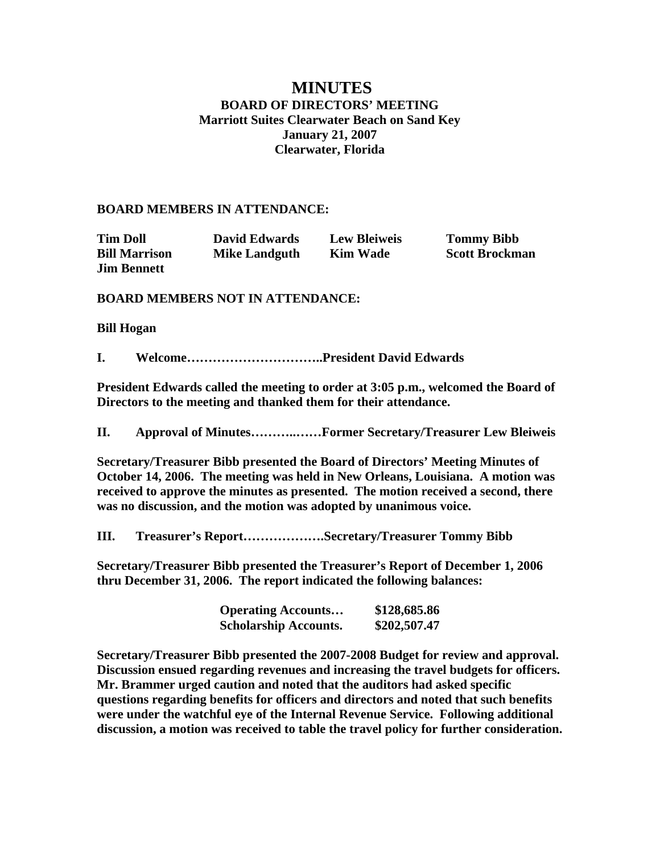# **MINUTES BOARD OF DIRECTORS' MEETING Marriott Suites Clearwater Beach on Sand Key January 21, 2007 Clearwater, Florida**

#### **BOARD MEMBERS IN ATTENDANCE:**

| <b>Tim Doll</b>      | <b>David Edwards</b> | <b>Lew Bleiweis</b> | <b>Tommy Bibb</b>     |
|----------------------|----------------------|---------------------|-----------------------|
| <b>Bill Marrison</b> | <b>Mike Landguth</b> | <b>Kim Wade</b>     | <b>Scott Brockman</b> |
| <b>Jim Bennett</b>   |                      |                     |                       |

#### **BOARD MEMBERS NOT IN ATTENDANCE:**

#### **Bill Hogan**

**I. Welcome…………………………..President David Edwards** 

**President Edwards called the meeting to order at 3:05 p.m., welcomed the Board of Directors to the meeting and thanked them for their attendance.** 

**II. Approval of Minutes………..……Former Secretary/Treasurer Lew Bleiweis** 

**Secretary/Treasurer Bibb presented the Board of Directors' Meeting Minutes of October 14, 2006. The meeting was held in New Orleans, Louisiana. A motion was received to approve the minutes as presented. The motion received a second, there was no discussion, and the motion was adopted by unanimous voice.** 

**III. Treasurer's Report……………….Secretary/Treasurer Tommy Bibb** 

**Secretary/Treasurer Bibb presented the Treasurer's Report of December 1, 2006 thru December 31, 2006. The report indicated the following balances:** 

| <b>Operating Accounts</b>    | \$128,685.86 |
|------------------------------|--------------|
| <b>Scholarship Accounts.</b> | \$202,507.47 |

**Secretary/Treasurer Bibb presented the 2007-2008 Budget for review and approval. Discussion ensued regarding revenues and increasing the travel budgets for officers. Mr. Brammer urged caution and noted that the auditors had asked specific questions regarding benefits for officers and directors and noted that such benefits were under the watchful eye of the Internal Revenue Service. Following additional discussion, a motion was received to table the travel policy for further consideration.**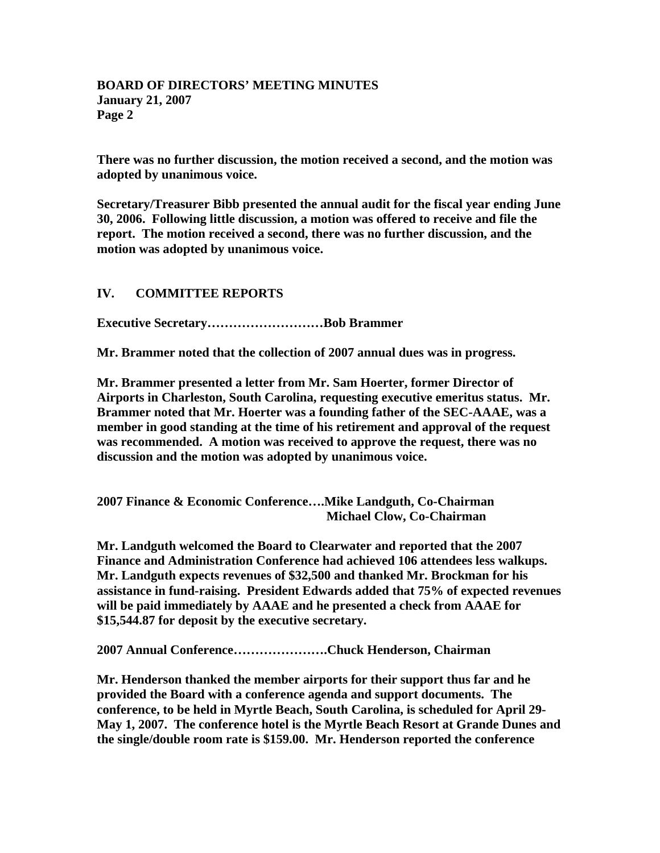**There was no further discussion, the motion received a second, and the motion was adopted by unanimous voice.** 

**Secretary/Treasurer Bibb presented the annual audit for the fiscal year ending June 30, 2006. Following little discussion, a motion was offered to receive and file the report. The motion received a second, there was no further discussion, and the motion was adopted by unanimous voice.** 

## **IV. COMMITTEE REPORTS**

**Executive Secretary………………………Bob Brammer** 

**Mr. Brammer noted that the collection of 2007 annual dues was in progress.** 

**Mr. Brammer presented a letter from Mr. Sam Hoerter, former Director of Airports in Charleston, South Carolina, requesting executive emeritus status. Mr. Brammer noted that Mr. Hoerter was a founding father of the SEC-AAAE, was a member in good standing at the time of his retirement and approval of the request was recommended. A motion was received to approve the request, there was no discussion and the motion was adopted by unanimous voice.** 

**2007 Finance & Economic Conference….Mike Landguth, Co-Chairman Michael Clow, Co-Chairman** 

**Mr. Landguth welcomed the Board to Clearwater and reported that the 2007 Finance and Administration Conference had achieved 106 attendees less walkups. Mr. Landguth expects revenues of \$32,500 and thanked Mr. Brockman for his assistance in fund-raising. President Edwards added that 75% of expected revenues will be paid immediately by AAAE and he presented a check from AAAE for \$15,544.87 for deposit by the executive secretary.** 

**2007 Annual Conference………………….Chuck Henderson, Chairman** 

**Mr. Henderson thanked the member airports for their support thus far and he provided the Board with a conference agenda and support documents. The conference, to be held in Myrtle Beach, South Carolina, is scheduled for April 29- May 1, 2007. The conference hotel is the Myrtle Beach Resort at Grande Dunes and the single/double room rate is \$159.00. Mr. Henderson reported the conference**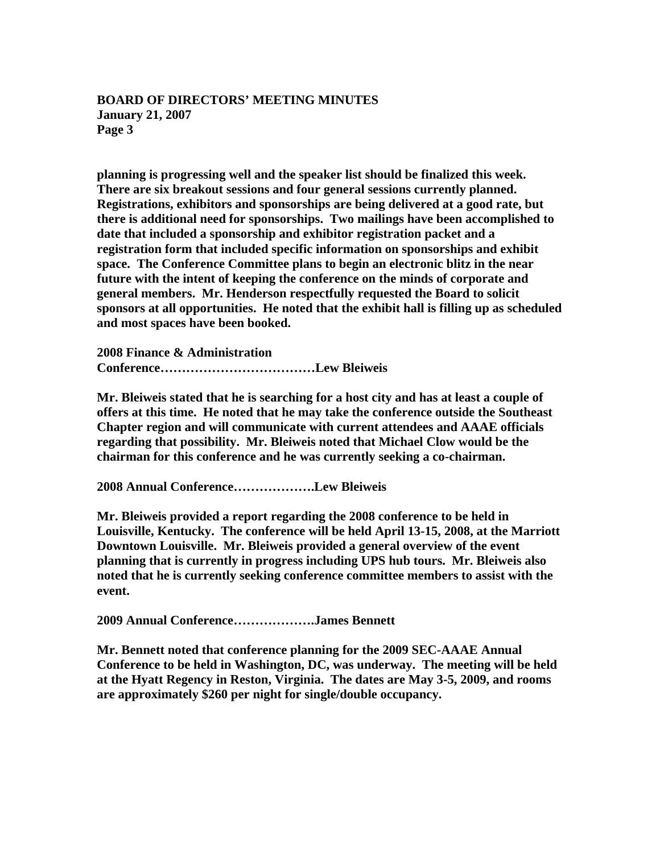**planning is progressing well and the speaker list should be finalized this week. There are six breakout sessions and four general sessions currently planned. Registrations, exhibitors and sponsorships are being delivered at a good rate, but there is additional need for sponsorships. Two mailings have been accomplished to date that included a sponsorship and exhibitor registration packet and a registration form that included specific information on sponsorships and exhibit space. The Conference Committee plans to begin an electronic blitz in the near future with the intent of keeping the conference on the minds of corporate and general members. Mr. Henderson respectfully requested the Board to solicit sponsors at all opportunities. He noted that the exhibit hall is filling up as scheduled and most spaces have been booked.** 

**2008 Finance & Administration Conference………………………………Lew Bleiweis** 

**Mr. Bleiweis stated that he is searching for a host city and has at least a couple of offers at this time. He noted that he may take the conference outside the Southeast Chapter region and will communicate with current attendees and AAAE officials regarding that possibility. Mr. Bleiweis noted that Michael Clow would be the chairman for this conference and he was currently seeking a co-chairman.** 

**2008 Annual Conference……………….Lew Bleiweis** 

**Mr. Bleiweis provided a report regarding the 2008 conference to be held in Louisville, Kentucky. The conference will be held April 13-15, 2008, at the Marriott Downtown Louisville. Mr. Bleiweis provided a general overview of the event planning that is currently in progress including UPS hub tours. Mr. Bleiweis also noted that he is currently seeking conference committee members to assist with the event.**

**2009 Annual Conference……………….James Bennett** 

**Mr. Bennett noted that conference planning for the 2009 SEC-AAAE Annual Conference to be held in Washington, DC, was underway. The meeting will be held at the Hyatt Regency in Reston, Virginia. The dates are May 3-5, 2009, and rooms are approximately \$260 per night for single/double occupancy.**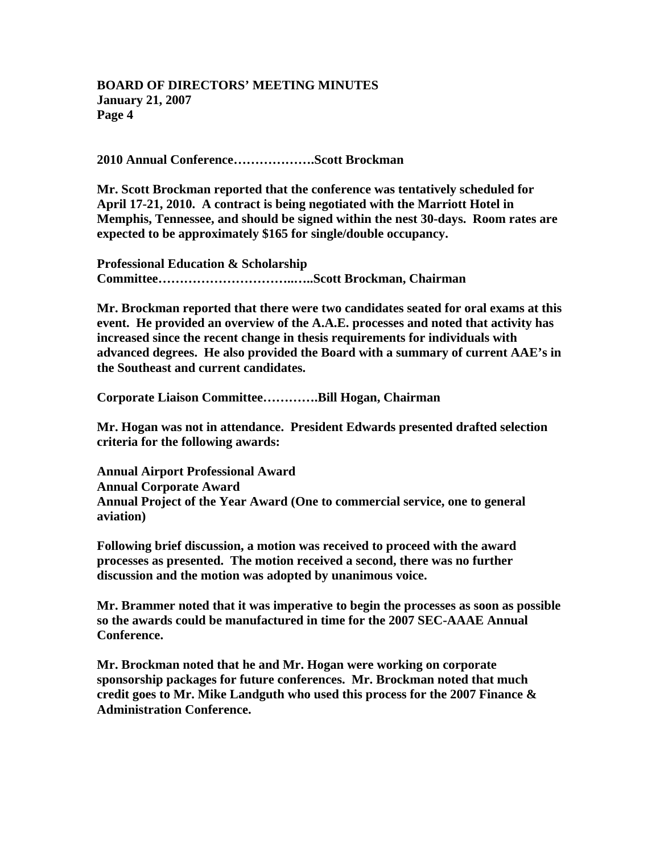**2010 Annual Conference……………….Scott Brockman** 

**Mr. Scott Brockman reported that the conference was tentatively scheduled for April 17-21, 2010. A contract is being negotiated with the Marriott Hotel in Memphis, Tennessee, and should be signed within the nest 30-days. Room rates are expected to be approximately \$165 for single/double occupancy.** 

**Professional Education & Scholarship Committee…………………………..…..Scott Brockman, Chairman** 

**Mr. Brockman reported that there were two candidates seated for oral exams at this event. He provided an overview of the A.A.E. processes and noted that activity has increased since the recent change in thesis requirements for individuals with advanced degrees. He also provided the Board with a summary of current AAE's in the Southeast and current candidates.** 

**Corporate Liaison Committee………….Bill Hogan, Chairman** 

**Mr. Hogan was not in attendance. President Edwards presented drafted selection criteria for the following awards:** 

**Annual Airport Professional Award Annual Corporate Award Annual Project of the Year Award (One to commercial service, one to general aviation)** 

**Following brief discussion, a motion was received to proceed with the award processes as presented. The motion received a second, there was no further discussion and the motion was adopted by unanimous voice.** 

**Mr. Brammer noted that it was imperative to begin the processes as soon as possible so the awards could be manufactured in time for the 2007 SEC-AAAE Annual Conference.** 

**Mr. Brockman noted that he and Mr. Hogan were working on corporate sponsorship packages for future conferences. Mr. Brockman noted that much credit goes to Mr. Mike Landguth who used this process for the 2007 Finance & Administration Conference.**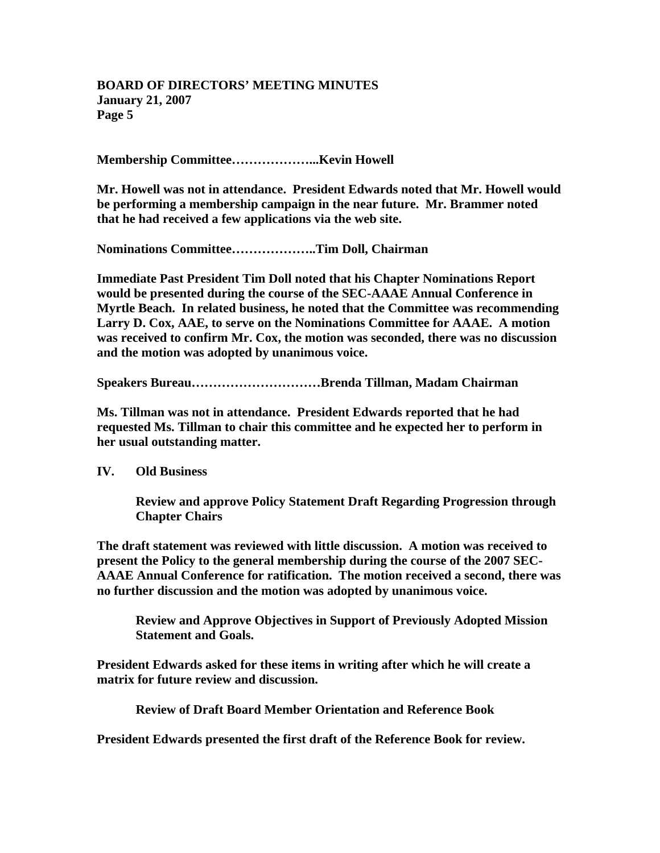**Membership Committee………………...Kevin Howell** 

**Mr. Howell was not in attendance. President Edwards noted that Mr. Howell would be performing a membership campaign in the near future. Mr. Brammer noted that he had received a few applications via the web site.** 

**Nominations Committee………………..Tim Doll, Chairman** 

**Immediate Past President Tim Doll noted that his Chapter Nominations Report would be presented during the course of the SEC-AAAE Annual Conference in Myrtle Beach. In related business, he noted that the Committee was recommending Larry D. Cox, AAE, to serve on the Nominations Committee for AAAE. A motion was received to confirm Mr. Cox, the motion was seconded, there was no discussion and the motion was adopted by unanimous voice.** 

**Speakers Bureau…………………………Brenda Tillman, Madam Chairman** 

**Ms. Tillman was not in attendance. President Edwards reported that he had requested Ms. Tillman to chair this committee and he expected her to perform in her usual outstanding matter.** 

**IV. Old Business** 

**Review and approve Policy Statement Draft Regarding Progression through Chapter Chairs** 

**The draft statement was reviewed with little discussion. A motion was received to present the Policy to the general membership during the course of the 2007 SEC-AAAE Annual Conference for ratification. The motion received a second, there was no further discussion and the motion was adopted by unanimous voice.** 

**Review and Approve Objectives in Support of Previously Adopted Mission Statement and Goals.** 

**President Edwards asked for these items in writing after which he will create a matrix for future review and discussion.** 

**Review of Draft Board Member Orientation and Reference Book** 

**President Edwards presented the first draft of the Reference Book for review.**